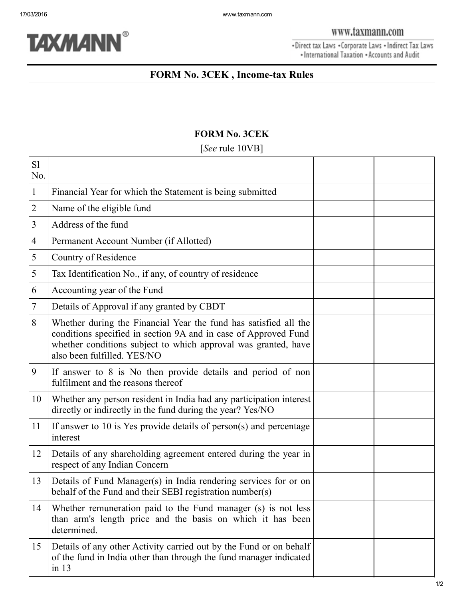## FORM No. 3CEK

| S1<br>No.      |                                                                                                                                                                                                                                      |  |
|----------------|--------------------------------------------------------------------------------------------------------------------------------------------------------------------------------------------------------------------------------------|--|
| $\mathbf{1}$   | Financial Year for which the Statement is being submitted                                                                                                                                                                            |  |
| $\overline{2}$ | Name of the eligible fund                                                                                                                                                                                                            |  |
| $\mathfrak{Z}$ | Address of the fund                                                                                                                                                                                                                  |  |
| $\overline{4}$ | Permanent Account Number (if Allotted)                                                                                                                                                                                               |  |
| 5              | Country of Residence                                                                                                                                                                                                                 |  |
| 5              | Tax Identification No., if any, of country of residence                                                                                                                                                                              |  |
| 6              | Accounting year of the Fund                                                                                                                                                                                                          |  |
| 7              | Details of Approval if any granted by CBDT                                                                                                                                                                                           |  |
| 8              | Whether during the Financial Year the fund has satisfied all the<br>conditions specified in section 9A and in case of Approved Fund<br>whether conditions subject to which approval was granted, have<br>also been fulfilled. YES/NO |  |
| 9              | If answer to 8 is No then provide details and period of non<br>fulfilment and the reasons thereof                                                                                                                                    |  |
| 10             | Whether any person resident in India had any participation interest<br>directly or indirectly in the fund during the year? Yes/NO                                                                                                    |  |
| 11             | If answer to 10 is Yes provide details of person(s) and percentage<br>interest                                                                                                                                                       |  |
| 12             | Details of any shareholding agreement entered during the year in<br>respect of any Indian Concern                                                                                                                                    |  |
| 13             | Details of Fund Manager(s) in India rendering services for or on<br>behalf of the Fund and their SEBI registration number(s)                                                                                                         |  |
| 14             | Whether remuneration paid to the Fund manager (s) is not less<br>than arm's length price and the basis on which it has been<br>determined.                                                                                           |  |
| 15             | Details of any other Activity carried out by the Fund or on behalf<br>of the fund in India other than through the fund manager indicated<br>in 13                                                                                    |  |